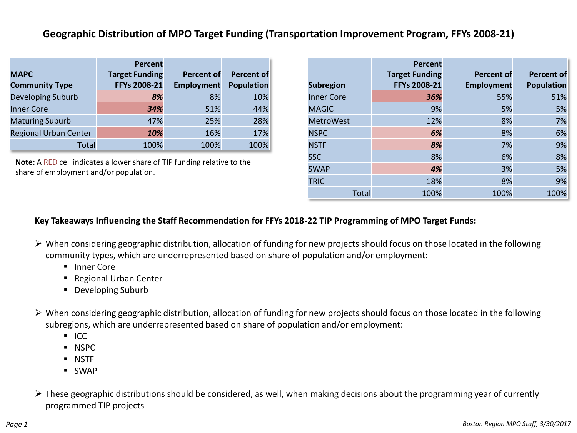## **Geographic Distribution of MPO Target Funding (Transportation Improvement Program, FFYs 2008-21)**

|                              | Percent               |                   |                   |
|------------------------------|-----------------------|-------------------|-------------------|
| <b>MAPC</b>                  | <b>Target Funding</b> | <b>Percent of</b> | Percent of        |
| <b>Community Type</b>        | FFYs 2008-21          | <b>Employment</b> | <b>Population</b> |
| Developing Suburb            | 8%                    | 8%                | 10%               |
| <b>Inner Core</b>            | 34%                   | 51%               | 44%               |
| <b>Maturing Suburb</b>       | 47%                   | 25%               | 28%               |
| <b>Regional Urban Center</b> | 10%                   | 16%               | 17%               |
| Total                        | 100%                  | 100%              | 100%              |

**Note:** A RED cell indicates a lower share of TIP funding relative to the share of employment and/or population.

| <b>Subregion</b>  | Percent<br><b>Target Funding</b><br>FFYs 2008-21 | <b>Percent of</b><br><b>Employment</b> | <b>Percent of</b><br><b>Population</b> |
|-------------------|--------------------------------------------------|----------------------------------------|----------------------------------------|
| <b>Inner Core</b> | 36%                                              | 55%                                    | 51%                                    |
| <b>MAGIC</b>      | 9%                                               | 5%                                     | 5%                                     |
| <b>MetroWest</b>  | 12%                                              | 8%                                     | 7%                                     |
| <b>NSPC</b>       | 6%                                               | 8%                                     | 6%                                     |
| <b>NSTF</b>       | 8%                                               | 7%                                     | 9%                                     |
| <b>SSC</b>        | 8%                                               | 6%                                     | 8%                                     |
| <b>SWAP</b>       | 4%                                               | 3%                                     | 5%                                     |
| <b>TRIC</b>       | 18%                                              | 8%                                     | 9%                                     |
| Total             | 100%                                             | 100%                                   | 100%                                   |

## **Key Takeaways Influencing the Staff Recommendation for FFYs 2018-22 TIP Programming of MPO Target Funds:**

- When considering geographic distribution, allocation of funding for new projects should focus on those located in the following community types, which are underrepresented based on share of population and/or employment:
	- **Inner Core**
	- Regional Urban Center
	- **Developing Suburb**
- When considering geographic distribution, allocation of funding for new projects should focus on those located in the following subregions, which are underrepresented based on share of population and/or employment:
	- $ICC$
	- **NSPC**
	- NSTF
	- SWAP
- $\triangleright$  These geographic distributions should be considered, as well, when making decisions about the programming year of currently programmed TIP projects